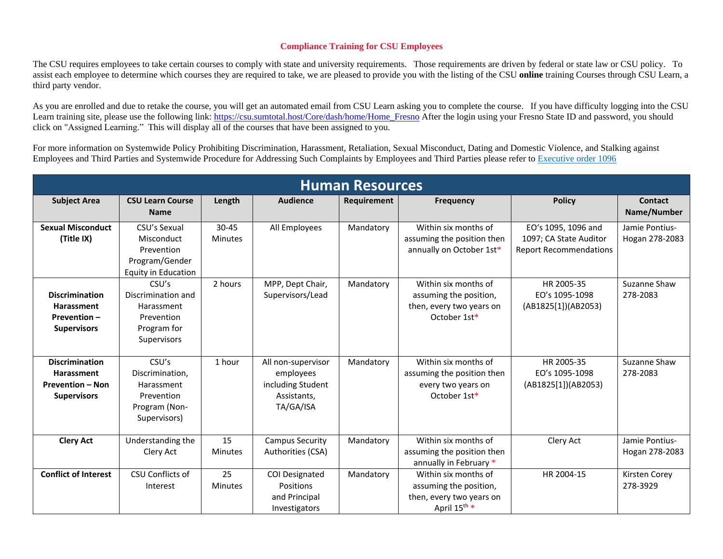## **Compliance Training for CSU Employees**

The CSU requires employees to take certain courses to comply with state and university requirements. Those requirements are driven by federal or state law or CSU policy. To assist each employee to determine which courses they are required to take, we are pleased to provide you with the listing of the CSU **online** training Courses through CSU Learn, a third party vendor.

As you are enrolled and due to retake the course, you will get an automated email from CSU Learn asking you to complete the course. If you have difficulty logging into the CSU Learn training site, please use the following link: [https://csu.sumtotal.host/Core/dash/home/Home\\_Fresno](https://csu.sumtotal.host/Core/dash/home/Home_Fresno) After the login using your Fresno State ID and password, you should click on "Assigned Learning." This will display all of the courses that have been assigned to you.

For more information on Systemwide Policy Prohibiting Discrimination, Harassment, Retaliation, Sexual Misconduct, Dating and Domestic Violence, and Stalking against Employees and Third Parties and Systemwide Procedure for Addressing Such Complaints by Employees and Third Parties please refer to [Executive order 1096](https://calstate.policystat.com/policy/8453514/latest/)

| <b>Human Resources</b>                                                                      |                                                                                          |                             |                                                                                  |             |                                                                                                        |                                                                                |                                  |  |  |  |  |
|---------------------------------------------------------------------------------------------|------------------------------------------------------------------------------------------|-----------------------------|----------------------------------------------------------------------------------|-------------|--------------------------------------------------------------------------------------------------------|--------------------------------------------------------------------------------|----------------------------------|--|--|--|--|
| <b>Subject Area</b>                                                                         | <b>CSU Learn Course</b><br><b>Name</b>                                                   | Length                      | <b>Audience</b>                                                                  | Requirement | <b>Frequency</b>                                                                                       | <b>Policy</b>                                                                  | <b>Contact</b><br>Name/Number    |  |  |  |  |
| <b>Sexual Misconduct</b><br>(Title IX)                                                      | CSU's Sexual<br>Misconduct<br>Prevention<br>Program/Gender<br><b>Equity in Education</b> | $30 - 45$<br><b>Minutes</b> | All Employees                                                                    | Mandatory   | Within six months of<br>assuming the position then<br>annually on October 1st*                         | EO's 1095, 1096 and<br>1097; CA State Auditor<br><b>Report Recommendations</b> | Jamie Pontius-<br>Hogan 278-2083 |  |  |  |  |
| <b>Discrimination</b><br><b>Harassment</b><br>Prevention-<br><b>Supervisors</b>             | CSU's<br>Discrimination and<br>Harassment<br>Prevention<br>Program for<br>Supervisors    | 2 hours                     | MPP, Dept Chair,<br>Supervisors/Lead                                             | Mandatory   | Within six months of<br>assuming the position,<br>then, every two years on<br>October 1st*             | HR 2005-35<br>EO's 1095-1098<br>(AB1825[1])(AB2053)                            | Suzanne Shaw<br>278-2083         |  |  |  |  |
| <b>Discrimination</b><br><b>Harassment</b><br><b>Prevention - Non</b><br><b>Supervisors</b> | CSU's<br>Discrimination,<br>Harassment<br>Prevention<br>Program (Non-<br>Supervisors)    | 1 hour                      | All non-supervisor<br>employees<br>including Student<br>Assistants,<br>TA/GA/ISA | Mandatory   | Within six months of<br>assuming the position then<br>every two years on<br>October 1st*               | HR 2005-35<br>EO's 1095-1098<br>(AB1825[1])(AB2053)                            | Suzanne Shaw<br>278-2083         |  |  |  |  |
| <b>Clery Act</b>                                                                            | Understanding the<br>Clery Act                                                           | 15<br><b>Minutes</b>        | <b>Campus Security</b><br>Authorities (CSA)                                      | Mandatory   | Within six months of<br>assuming the position then<br>annually in February *                           | Clery Act                                                                      | Jamie Pontius-<br>Hogan 278-2083 |  |  |  |  |
| <b>Conflict of Interest</b>                                                                 | CSU Conflicts of<br>Interest                                                             | 25<br><b>Minutes</b>        | COI Designated<br>Positions<br>and Principal<br>Investigators                    | Mandatory   | Within six months of<br>assuming the position,<br>then, every two years on<br>April 15 <sup>th</sup> * | HR 2004-15                                                                     | Kirsten Corey<br>278-3929        |  |  |  |  |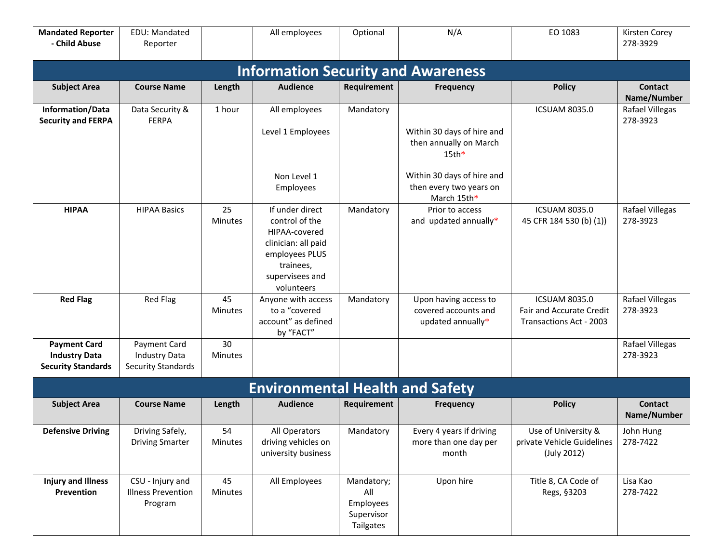| <b>Mandated Reporter</b><br>- Child Abuse                                | EDU: Mandated<br>Reporter                                         |                      | All employees                                                                                                                             | Optional                                                  | N/A                                                                  | EO 1083                                                                            | Kirsten Corey<br>278-3929     |  |  |  |  |  |  |
|--------------------------------------------------------------------------|-------------------------------------------------------------------|----------------------|-------------------------------------------------------------------------------------------------------------------------------------------|-----------------------------------------------------------|----------------------------------------------------------------------|------------------------------------------------------------------------------------|-------------------------------|--|--|--|--|--|--|
| <b>Information Security and Awareness</b>                                |                                                                   |                      |                                                                                                                                           |                                                           |                                                                      |                                                                                    |                               |  |  |  |  |  |  |
| <b>Subject Area</b>                                                      | <b>Course Name</b>                                                | Length               | <b>Audience</b>                                                                                                                           | Requirement                                               | <b>Frequency</b>                                                     | <b>Policy</b>                                                                      | <b>Contact</b><br>Name/Number |  |  |  |  |  |  |
| Information/Data<br><b>Security and FERPA</b>                            | Data Security &<br><b>FERPA</b>                                   | 1 hour               | All employees<br>Level 1 Employees                                                                                                        | Mandatory                                                 | Within 30 days of hire and<br>then annually on March<br>$15th*$      | <b>ICSUAM 8035.0</b>                                                               | Rafael Villegas<br>278-3923   |  |  |  |  |  |  |
|                                                                          |                                                                   |                      | Non Level 1<br>Employees                                                                                                                  |                                                           | Within 30 days of hire and<br>then every two years on<br>March 15th* |                                                                                    |                               |  |  |  |  |  |  |
| <b>HIPAA</b>                                                             | <b>HIPAA Basics</b>                                               | 25<br><b>Minutes</b> | If under direct<br>control of the<br>HIPAA-covered<br>clinician: all paid<br>employees PLUS<br>trainees,<br>supervisees and<br>volunteers | Mandatory                                                 | Prior to access<br>and updated annually*                             | <b>ICSUAM 8035.0</b><br>45 CFR 184 530 (b) (1))                                    | Rafael Villegas<br>278-3923   |  |  |  |  |  |  |
| <b>Red Flag</b>                                                          | <b>Red Flag</b>                                                   | 45<br><b>Minutes</b> | Anyone with access<br>to a "covered<br>account" as defined<br>by "FACT"                                                                   | Mandatory                                                 | Upon having access to<br>covered accounts and<br>updated annually*   | <b>ICSUAM 8035.0</b><br><b>Fair and Accurate Credit</b><br>Transactions Act - 2003 | Rafael Villegas<br>278-3923   |  |  |  |  |  |  |
| <b>Payment Card</b><br><b>Industry Data</b><br><b>Security Standards</b> | Payment Card<br><b>Industry Data</b><br><b>Security Standards</b> | 30<br>Minutes        |                                                                                                                                           |                                                           |                                                                      |                                                                                    | Rafael Villegas<br>278-3923   |  |  |  |  |  |  |
| <b>Environmental Health and Safety</b>                                   |                                                                   |                      |                                                                                                                                           |                                                           |                                                                      |                                                                                    |                               |  |  |  |  |  |  |
| <b>Subject Area</b>                                                      | <b>Course Name</b>                                                | Length               | <b>Audience</b>                                                                                                                           | <b>Requirement</b>                                        | <b>Frequency</b>                                                     | <b>Policy</b>                                                                      | <b>Contact</b><br>Name/Number |  |  |  |  |  |  |
| <b>Defensive Driving</b>                                                 | Driving Safely,<br><b>Driving Smarter</b>                         | 54<br>Minutes        | All Operators<br>driving vehicles on<br>university business                                                                               | Mandatory                                                 | Every 4 years if driving<br>more than one day per<br>month           | Use of University &<br>private Vehicle Guidelines<br>(July 2012)                   | John Hung<br>278-7422         |  |  |  |  |  |  |
| <b>Injury and Illness</b><br>Prevention                                  | CSU - Injury and<br><b>Illness Prevention</b><br>Program          | 45<br>Minutes        | All Employees                                                                                                                             | Mandatory;<br>All<br>Employees<br>Supervisor<br>Tailgates | Upon hire                                                            | Title 8, CA Code of<br>Regs, §3203                                                 | Lisa Kao<br>278-7422          |  |  |  |  |  |  |